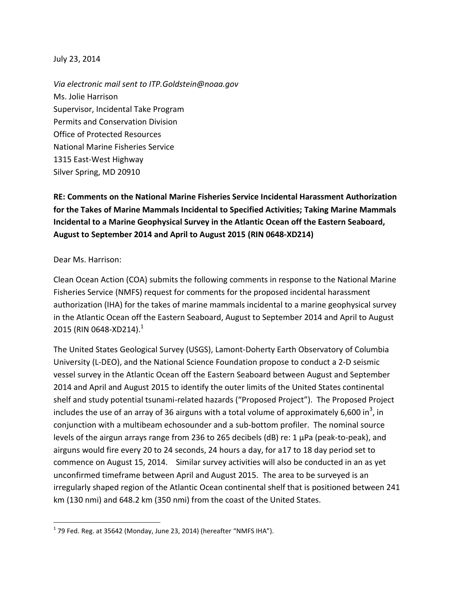#### July 23, 2014

*Via electronic mail sent to ITP.Goldstein@noaa.gov* Ms. Jolie Harrison Supervisor, Incidental Take Program Permits and Conservation Division Office of Protected Resources National Marine Fisheries Service 1315 East-West Highway Silver Spring, MD 20910

**RE: Comments on the National Marine Fisheries Service Incidental Harassment Authorization for the Takes of Marine Mammals Incidental to Specified Activities; Taking Marine Mammals Incidental to a Marine Geophysical Survey in the Atlantic Ocean off the Eastern Seaboard, August to September 2014 and April to August 2015 (RIN 0648-XD214)**

#### Dear Ms. Harrison:

 $\overline{\phantom{a}}$ 

Clean Ocean Action (COA) submits the following comments in response to the National Marine Fisheries Service (NMFS) request for comments for the proposed incidental harassment authorization (IHA) for the takes of marine mammals incidental to a marine geophysical survey in the Atlantic Ocean off the Eastern Seaboard, August to September 2014 and April to August 2015 (RIN 0648-XD214).<sup>1</sup>

The United States Geological Survey (USGS), Lamont-Doherty Earth Observatory of Columbia University (L-DEO), and the National Science Foundation propose to conduct a 2-D seismic vessel survey in the Atlantic Ocean off the Eastern Seaboard between August and September 2014 and April and August 2015 to identify the outer limits of the United States continental shelf and study potential tsunami-related hazards ("Proposed Project"). The Proposed Project includes the use of an array of 36 airguns with a total volume of approximately 6,600 in<sup>3</sup>, in conjunction with a multibeam echosounder and a sub-bottom profiler. The nominal source levels of the airgun arrays range from 236 to 265 decibels (dB) re: 1 µPa (peak-to-peak), and airguns would fire every 20 to 24 seconds, 24 hours a day, for a17 to 18 day period set to commence on August 15, 2014. Similar survey activities will also be conducted in an as yet unconfirmed timeframe between April and August 2015. The area to be surveyed is an irregularly shaped region of the Atlantic Ocean continental shelf that is positioned between 241 km (130 nmi) and 648.2 km (350 nmi) from the coast of the United States.

 $^1$  79 Fed. Reg. at 35642 (Monday, June 23, 2014) (hereafter "NMFS IHA").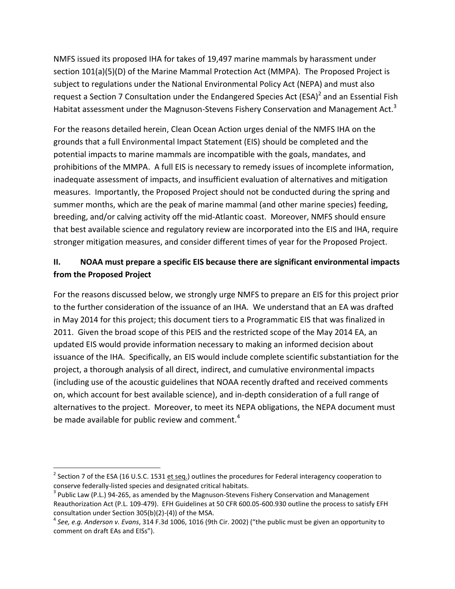NMFS issued its proposed IHA for takes of 19,497 marine mammals by harassment under section 101(a)(5)(D) of the Marine Mammal Protection Act (MMPA). The Proposed Project is subject to regulations under the National Environmental Policy Act (NEPA) and must also request a Section 7 Consultation under the Endangered Species Act (ESA)<sup>2</sup> and an Essential Fish Habitat assessment under the Magnuson-Stevens Fishery Conservation and Management Act.<sup>3</sup>

For the reasons detailed herein, Clean Ocean Action urges denial of the NMFS IHA on the grounds that a full Environmental Impact Statement (EIS) should be completed and the potential impacts to marine mammals are incompatible with the goals, mandates, and prohibitions of the MMPA. A full EIS is necessary to remedy issues of incomplete information, inadequate assessment of impacts, and insufficient evaluation of alternatives and mitigation measures. Importantly, the Proposed Project should not be conducted during the spring and summer months, which are the peak of marine mammal (and other marine species) feeding, breeding, and/or calving activity off the mid-Atlantic coast. Moreover, NMFS should ensure that best available science and regulatory review are incorporated into the EIS and IHA, require stronger mitigation measures, and consider different times of year for the Proposed Project.

## **II. NOAA must prepare a specific EIS because there are significant environmental impacts from the Proposed Project**

For the reasons discussed below, we strongly urge NMFS to prepare an EIS for this project prior to the further consideration of the issuance of an IHA. We understand that an EA was drafted in May 2014 for this project; this document tiers to a Programmatic EIS that was finalized in 2011. Given the broad scope of this PEIS and the restricted scope of the May 2014 EA, an updated EIS would provide information necessary to making an informed decision about issuance of the IHA. Specifically, an EIS would include complete scientific substantiation for the project, a thorough analysis of all direct, indirect, and cumulative environmental impacts (including use of the acoustic guidelines that NOAA recently drafted and received comments on, which account for best available science), and in-depth consideration of a full range of alternatives to the project. Moreover, to meet its NEPA obligations, the NEPA document must be made available for public review and comment.<sup>4</sup>

<sup>&</sup>lt;sup>2</sup> Section 7 of the ESA (16 U.S.C. 1531 <u>et seq.</u>) outlines the procedures for Federal interagency cooperation to conserve federally-listed species and designated critical habitats.

 $3$  Public Law (P.L.) 94-265, as amended by the Magnuson-Stevens Fishery Conservation and Management Reauthorization Act (P.L. 109-479). EFH Guidelines at 50 CFR 600.05-600.930 outline the process to satisfy EFH consultation under Section 305(b)(2)-(4)) of the MSA.

<sup>4</sup> *See, e.g. Anderson v. Evans*, 314 F.3d 1006, 1016 (9th Cir. 2002) ("the public must be given an opportunity to comment on draft EAs and EISs").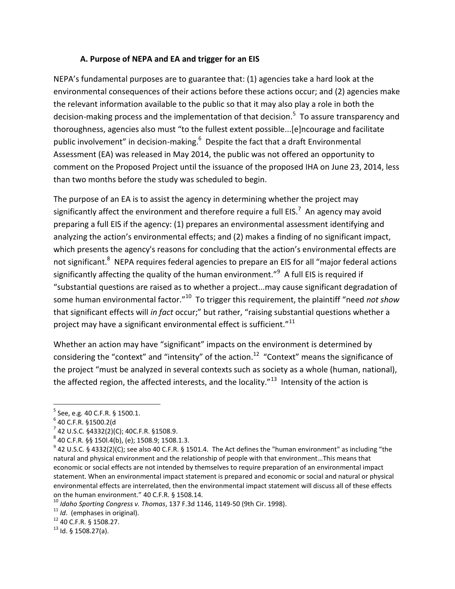### **A. Purpose of NEPA and EA and trigger for an EIS**

NEPA's fundamental purposes are to guarantee that: (1) agencies take a hard look at the environmental consequences of their actions before these actions occur; and (2) agencies make the relevant information available to the public so that it may also play a role in both the decision-making process and the implementation of that decision.<sup>5</sup> To assure transparency and thoroughness, agencies also must "to the fullest extent possible...[e]ncourage and facilitate public involvement" in decision-making.<sup>6</sup> Despite the fact that a draft Environmental Assessment (EA) was released in May 2014, the public was not offered an opportunity to comment on the Proposed Project until the issuance of the proposed IHA on June 23, 2014, less than two months before the study was scheduled to begin.

The purpose of an EA is to assist the agency in determining whether the project may significantly affect the environment and therefore require a full EIS.<sup>7</sup> An agency may avoid preparing a full EIS if the agency: (1) prepares an environmental assessment identifying and analyzing the action's environmental effects; and (2) makes a finding of no significant impact, which presents the agency's reasons for concluding that the action's environmental effects are not significant.<sup>8</sup> NEPA requires federal agencies to prepare an EIS for all "major federal actions significantly affecting the quality of the human environment."<sup>9</sup> A full EIS is required if "substantial questions are raised as to whether a project...may cause significant degradation of some human environmental factor."<sup>10</sup> To trigger this requirement, the plaintiff "need *not show* that significant effects will *in fact* occur;" but rather, "raising substantial questions whether a project may have a significant environmental effect is sufficient." $^{11}$ 

Whether an action may have "significant" impacts on the environment is determined by considering the "context" and "intensity" of the action.<sup>12</sup> "Context" means the significance of the project "must be analyzed in several contexts such as society as a whole (human, national), the affected region, the affected interests, and the locality." $^{13}$  Intensity of the action is

<sup>5</sup> See, e.g*.* 40 C.F.R. § 1500.1.

<sup>6</sup> 40 C.F.R. §1500.2(d

 $7$  42 U.S.C. §4332(2)(C); 40C.F.R. §1508.9.

 $8$  40 C.F.R. §§ 150l.4(b), (e); 1508.9; 1508.1.3.

 $^9$  42 U.S.C. § 4332(2)(C); see also 40 C.F.R. § 1501.4. The Act defines the "human environment" as including "the natural and physical environment and the relationship of people with that environment…This means that economic or social effects are not intended by themselves to require preparation of an environmental impact statement. When an environmental impact statement is prepared and economic or social and natural or physical environmental effects are interrelated, then the environmental impact statement will discuss all of these effects on the human environment." 40 C.F.R. § 1508.14.

<sup>10</sup> *Idaho Sporting Congress v. Thomas*, 137 F.3d 1146, 1149-50 (9th Cir. 1998).

<sup>11</sup> *Id*. (emphases in original).

<sup>12</sup> 40 C.F.R. § 1508.27.

 $13$  Id. § 1508.27(a).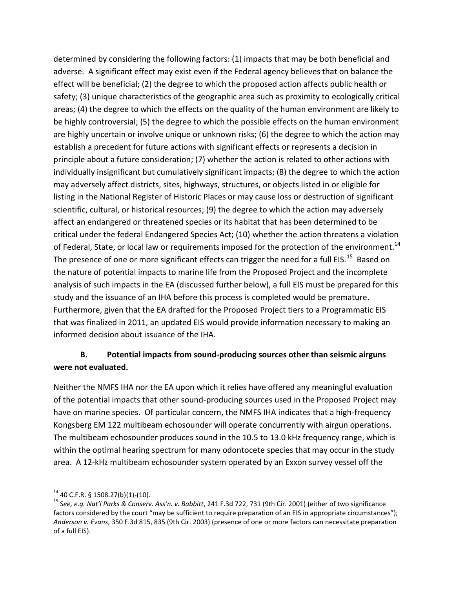determined by considering the following factors: (1) impacts that may be both beneficial and adverse. A significant effect may exist even if the Federal agency believes that on balance the effect will be beneficial; (2) the degree to which the proposed action affects public health or safety; (3) unique characteristics of the geographic area such as proximity to ecologically critical areas; (4) the degree to which the effects on the quality of the human environment are likely to be highly controversial; (5) the degree to which the possible effects on the human environment are highly uncertain or involve unique or unknown risks; (6) the degree to which the action may establish a precedent for future actions with significant effects or represents a decision in principle about a future consideration; (7) whether the action is related to other actions with individually insignificant but cumulatively significant impacts; (8) the degree to which the action may adversely affect districts, sites, highways, structures, or objects listed in or eligible for listing in the National Register of Historic Places or may cause loss or destruction of significant scientific, cultural, or historical resources; (9) the degree to which the action may adversely affect an endangered or threatened species or its habitat that has been determined to be critical under the federal Endangered Species Act; (10) whether the action threatens a violation of Federal, State, or local law or requirements imposed for the protection of the environment.<sup>14</sup> The presence of one or more significant effects can trigger the need for a full EIS.<sup>15</sup> Based on the nature of potential impacts to marine life from the Proposed Project and the incomplete analysis of such impacts in the EA (discussed further below), a full EIS must be prepared for this study and the issuance of an IHA before this process is completed would be premature. Furthermore, given that the EA drafted for the Proposed Project tiers to a Programmatic EIS that was finalized in 2011, an updated EIS would provide information necessary to making an informed decision about issuance of the IHA.

# **B. Potential impacts from sound-producing sources other than seismic airguns were not evaluated.**

Neither the NMFS IHA nor the EA upon which it relies have offered any meaningful evaluation of the potential impacts that other sound-producing sources used in the Proposed Project may have on marine species. Of particular concern, the NMFS IHA indicates that a high-frequency Kongsberg EM 122 multibeam echosounder will operate concurrently with airgun operations. The multibeam echosounder produces sound in the 10.5 to 13.0 kHz frequency range, which is within the optimal hearing spectrum for many odontocete species that may occur in the study area. A 12-kHz multibeam echosounder system operated by an Exxon survey vessel off the

l  $14$  40 C.F.R. § 1508.27(b)(1)-(10).

<sup>15</sup> S*ee, e.g. Nat'l Parks & Conserv. Ass'n. v. Babbitt*, 241 F.3d 722, 731 (9th Cir. 2001) (either of two significance factors considered by the court "may be sufficient to require preparation of an EIS in appropriate circumstances"); *Anderson v. Evans*, 350 F.3d 815, 835 (9th Cir. 2003) (presence of one or more factors can necessitate preparation of a full EIS).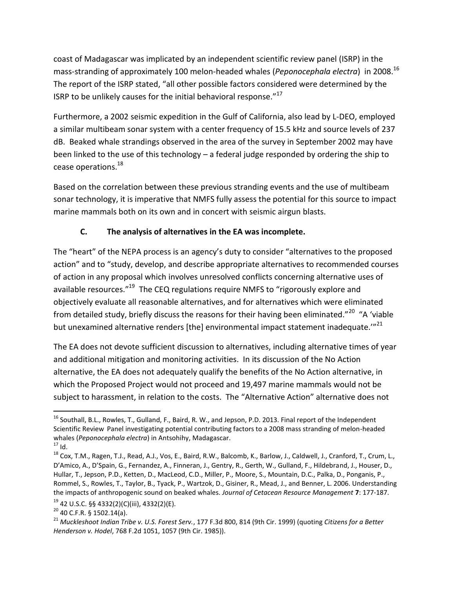coast of Madagascar was implicated by an independent scientific review panel (ISRP) in the mass-stranding of approximately 100 melon-headed whales (*Peponocephala electra*) in 2008.<sup>16</sup> The report of the ISRP stated, "all other possible factors considered were determined by the ISRP to be unlikely causes for the initial behavioral response."<sup>17</sup>

Furthermore, a 2002 seismic expedition in the Gulf of California, also lead by L-DEO, employed a similar multibeam sonar system with a center frequency of 15.5 kHz and source levels of 237 dB. Beaked whale strandings observed in the area of the survey in September 2002 may have been linked to the use of this technology – a federal judge responded by ordering the ship to cease operations. 18

Based on the correlation between these previous stranding events and the use of multibeam sonar technology, it is imperative that NMFS fully assess the potential for this source to impact marine mammals both on its own and in concert with seismic airgun blasts.

## **C. The analysis of alternatives in the EA was incomplete.**

The "heart" of the NEPA process is an agency's duty to consider "alternatives to the proposed action" and to "study, develop, and describe appropriate alternatives to recommended courses of action in any proposal which involves unresolved conflicts concerning alternative uses of available resources."<sup>19</sup> The CEQ regulations require NMFS to "rigorously explore and objectively evaluate all reasonable alternatives, and for alternatives which were eliminated from detailed study, briefly discuss the reasons for their having been eliminated."<sup>20</sup> "A 'viable but unexamined alternative renders [the] environmental impact statement inadequate.'"<sup>21</sup>

The EA does not devote sufficient discussion to alternatives, including alternative times of year and additional mitigation and monitoring activities. In its discussion of the No Action alternative, the EA does not adequately qualify the benefits of the No Action alternative, in which the Proposed Project would not proceed and 19,497 marine mammals would not be subject to harassment, in relation to the costs. The "Alternative Action" alternative does not

 $\overline{a}$ <sup>16</sup> Southall, B.L., Rowles, T., Gulland, F., Baird, R. W., and Jepson, P.D. 2013. Final report of the Independent Scientific Review Panel investigating potential contributing factors to a 2008 mass stranding of melon-headed whales (*Peponocephala electra*) in Antsohihy, Madagascar.

 $17$  Id.

<sup>18</sup> Cox, T.M., Ragen, T.J., Read, A.J., Vos, E., Baird, R.W., Balcomb, K., Barlow, J., Caldwell, J., Cranford, T., Crum, L., D'Amico, A., D'Spain, G., Fernandez, A., Finneran, J., Gentry, R., Gerth, W., Gulland, F., Hildebrand, J., Houser, D., Hullar, T., Jepson, P.D., Ketten, D., MacLeod, C.D., Miller, P., Moore, S., Mountain, D.C., Palka, D., Ponganis, P., Rommel, S., Rowles, T., Taylor, B., Tyack, P., Wartzok, D., Gisiner, R., Mead, J., and Benner, L. 2006. Understanding the impacts of anthropogenic sound on beaked whales. *Journal of Cetacean Resource Management* **7**: 177-187.

 $19$  42 U.S.C. §§ 4332(2)(C)(iii), 4332(2)(E).

<sup>20</sup> 40 C.F.R. § 1502.14(a).

<sup>21</sup> *Muckleshoot Indian Tribe v. U.S. Forest Serv.*, 177 F.3d 800, 814 (9th Cir. 1999) (quoting *Citizens for a Better Henderson v. Hodel*, 768 F.2d 1051, 1057 (9th Cir. 1985)).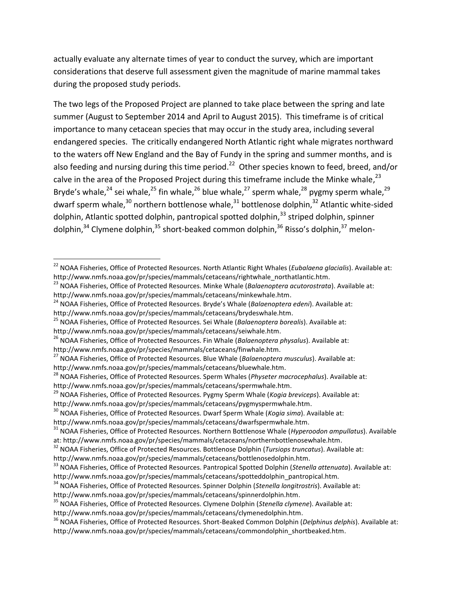actually evaluate any alternate times of year to conduct the survey, which are important considerations that deserve full assessment given the magnitude of marine mammal takes during the proposed study periods.

The two legs of the Proposed Project are planned to take place between the spring and late summer (August to September 2014 and April to August 2015). This timeframe is of critical importance to many cetacean species that may occur in the study area, including several endangered species. The critically endangered North Atlantic right whale migrates northward to the waters off New England and the Bay of Fundy in the spring and summer months, and is also feeding and nursing during this time period.<sup>22</sup> Other species known to feed, breed, and/or calve in the area of the Proposed Project during this timeframe include the Minke whale,<sup>23</sup> Bryde's whale,<sup>24</sup> sei whale,<sup>25</sup> fin whale,<sup>26</sup> blue whale,<sup>27</sup> sperm whale,<sup>28</sup> pygmy sperm whale,<sup>29</sup> dwarf sperm whale,<sup>30</sup> northern bottlenose whale,<sup>31</sup> bottlenose dolphin,<sup>32</sup> Atlantic white-sided dolphin, Atlantic spotted dolphin, pantropical spotted dolphin,<sup>33</sup> striped dolphin, spinner dolphin, $34$  Clymene dolphin, $35$  short-beaked common dolphin,  $36$  Risso's dolphin,  $37$  melon-

- <sup>23</sup> NOAA Fisheries, Office of Protected Resources. Minke Whale (*Balaenoptera acutorostrata*). Available at: [http://www.nmfs.noaa.gov/pr/species/mammals/cetaceans/minkewhale.htm.](http://www.nmfs.noaa.gov/pr/species/mammals/cetaceans/minkewhale.htm)
- <sup>24</sup> NOAA Fisheries, Office of Protected Resources. Bryde's Whale (*Balaenoptera edeni*). Available at: [http://www.nmfs.noaa.gov/pr/species/mammals/cetaceans/brydeswhale.htm.](http://www.nmfs.noaa.gov/pr/species/mammals/cetaceans/brydeswhale.htm)
- <sup>25</sup> NOAA Fisheries, Office of Protected Resources. Sei Whale (*Balaenoptera borealis*). Available at:

 $\overline{\phantom{a}}$ 

[http://www.nmfs.noaa.gov/pr/species/mammals/cetaceans/finwhale.htm.](http://www.nmfs.noaa.gov/pr/species/mammals/cetaceans/finwhale.htm) 

<sup>29</sup> NOAA Fisheries, Office of Protected Resources. Pygmy Sperm Whale (*Kogia breviceps*). Available at:

<sup>22</sup> NOAA Fisheries, Office of Protected Resources. North Atlantic Right Whales (*Eubalaena glacialis*). Available at: [http://www.nmfs.noaa.gov/pr/species/mammals/cetaceans/rightwhale\\_northatlantic.htm.](http://www.nmfs.noaa.gov/pr/species/mammals/cetaceans/rightwhale_northatlantic.htm)

[http://www.nmfs.noaa.gov/pr/species/mammals/cetaceans/seiwhale.htm.](http://www.nmfs.noaa.gov/pr/species/mammals/cetaceans/seiwhale.htm)

<sup>26</sup> NOAA Fisheries, Office of Protected Resources. Fin Whale (*Balaenoptera physalus*). Available at:

<sup>27</sup> NOAA Fisheries, Office of Protected Resources. Blue Whale (*Balaenoptera musculus*). Available at: [http://www.nmfs.noaa.gov/pr/species/mammals/cetaceans/bluewhale.htm.](http://www.nmfs.noaa.gov/pr/species/mammals/cetaceans/bluewhale.htm)

<sup>28</sup> NOAA Fisheries, Office of Protected Resources. Sperm Whales (*Physeter macrocephalus*). Available at: [http://www.nmfs.noaa.gov/pr/species/mammals/cetaceans/spermwhale.htm.](http://www.nmfs.noaa.gov/pr/species/mammals/cetaceans/spermwhale.htm) 

[http://www.nmfs.noaa.gov/pr/species/mammals/cetaceans/pygmyspermwhale.htm.](http://www.nmfs.noaa.gov/pr/species/mammals/cetaceans/pygmyspermwhale.htm)

<sup>30</sup> NOAA Fisheries, Office of Protected Resources. Dwarf Sperm Whale (*Kogia sima*). Available at:

[http://www.nmfs.noaa.gov/pr/species/mammals/cetaceans/dwarfspermwhale.htm.](http://www.nmfs.noaa.gov/pr/species/mammals/cetaceans/dwarfspermwhale.htm)

<sup>31</sup> NOAA Fisheries, Office of Protected Resources. Northern Bottlenose Whale (*Hyperoodon ampullatus*). Available at: [http://www.nmfs.noaa.gov/pr/species/mammals/cetaceans/northernbottlenosewhale.htm.](http://www.nmfs.noaa.gov/pr/species/mammals/cetaceans/northernbottlenosewhale.htm)

<sup>32</sup> NOAA Fisheries, Office of Protected Resources. Bottlenose Dolphin (*Tursiops truncatus*). Available at: [http://www.nmfs.noaa.gov/pr/species/mammals/cetaceans/bottlenosedolphin.htm.](http://www.nmfs.noaa.gov/pr/species/mammals/cetaceans/bottlenosedolphin.htm)

<sup>33</sup> NOAA Fisheries, Office of Protected Resources. Pantropical Spotted Dolphin (*Stenella attenuata*). Available at: [http://www.nmfs.noaa.gov/pr/species/mammals/cetaceans/spotteddolphin\\_pantropical.htm.](http://www.nmfs.noaa.gov/pr/species/mammals/cetaceans/spotteddolphin_pantropical.htm)

<sup>34</sup> NOAA Fisheries, Office of Protected Resources. Spinner Dolphin (*Stenella longitrostris*). Available at:

[http://www.nmfs.noaa.gov/pr/species/mammals/cetaceans/spinnerdolphin.htm.](http://www.nmfs.noaa.gov/pr/species/mammals/cetaceans/spinnerdolphin.htm)

<sup>35</sup> NOAA Fisheries, Office of Protected Resources. Clymene Dolphin (*Stenella clymene*). Available at:

[http://www.nmfs.noaa.gov/pr/species/mammals/cetaceans/clymenedolphin.htm.](http://www.nmfs.noaa.gov/pr/species/mammals/cetaceans/clymenedolphin.htm)

<sup>36</sup> NOAA Fisheries, Office of Protected Resources. Short-Beaked Common Dolphin (*Delphinus delphis*). Available at: [http://www.nmfs.noaa.gov/pr/species/mammals/cetaceans/commondolphin\\_shortbeaked.htm.](http://www.nmfs.noaa.gov/pr/species/mammals/cetaceans/commondolphin_shortbeaked.htm)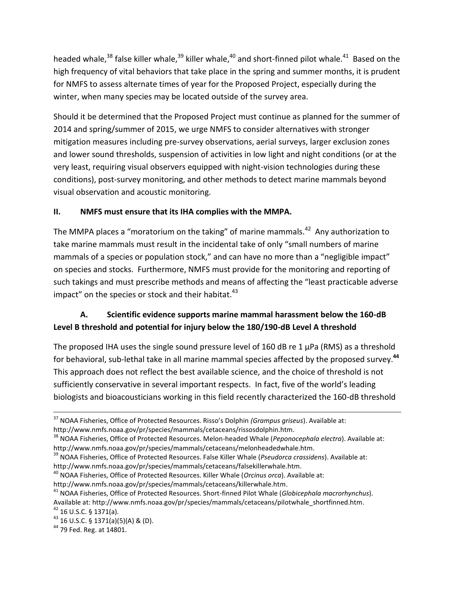headed whale,<sup>38</sup> false killer whale,<sup>39</sup> killer whale,<sup>40</sup> and short-finned pilot whale.<sup>41</sup> Based on the high frequency of vital behaviors that take place in the spring and summer months, it is prudent for NMFS to assess alternate times of year for the Proposed Project, especially during the winter, when many species may be located outside of the survey area.

Should it be determined that the Proposed Project must continue as planned for the summer of 2014 and spring/summer of 2015, we urge NMFS to consider alternatives with stronger mitigation measures including pre-survey observations, aerial surveys, larger exclusion zones and lower sound thresholds, suspension of activities in low light and night conditions (or at the very least, requiring visual observers equipped with night-vision technologies during these conditions), post-survey monitoring, and other methods to detect marine mammals beyond visual observation and acoustic monitoring.

## **II. NMFS must ensure that its IHA complies with the MMPA.**

The MMPA places a "moratorium on the taking" of marine mammals.<sup>42</sup> Any authorization to take marine mammals must result in the incidental take of only "small numbers of marine mammals of a species or population stock," and can have no more than a "negligible impact" on species and stocks. Furthermore, NMFS must provide for the monitoring and reporting of such takings and must prescribe methods and means of affecting the "least practicable adverse impact" on the species or stock and their habitat. $43$ 

# **A. Scientific evidence supports marine mammal harassment below the 160-dB Level B threshold and potential for injury below the 180/190-dB Level A threshold**

The proposed IHA uses the single sound pressure level of 160 dB re 1 µPa (RMS) as a threshold for behavioral, sub-lethal take in all marine mammal species affected by the proposed survey.**<sup>44</sup>** This approach does not reflect the best available science, and the choice of threshold is not sufficiently conservative in several important respects. In fact, five of the world's leading biologists and bioacousticians working in this field recently characterized the 160-dB threshold

[http://www.nmfs.noaa.gov/pr/species/mammals/cetaceans/killerwhale.htm.](http://www.nmfs.noaa.gov/pr/species/mammals/cetaceans/killerwhale.htm)

 $\overline{a}$ 

<sup>37</sup> NOAA Fisheries, Office of Protected Resources. Risso's Dolphin *(Grampus griseus*). Available at:

[http://www.nmfs.noaa.gov/pr/species/mammals/cetaceans/rissosdolphin.htm.](http://www.nmfs.noaa.gov/pr/species/mammals/cetaceans/rissosdolphin.htm)

<sup>38</sup> NOAA Fisheries, Office of Protected Resources. Melon-headed Whale (*Peponocephala electra*). Available at: [http://www.nmfs.noaa.gov/pr/species/mammals/cetaceans/melonheadedwhale.htm.](http://www.nmfs.noaa.gov/pr/species/mammals/cetaceans/melonheadedwhale.htm)

<sup>39</sup> NOAA Fisheries, Office of Protected Resources. False Killer Whale (*Pseudorca crassidens*). Available at: [http://www.nmfs.noaa.gov/pr/species/mammals/cetaceans/falsekillerwhale.htm.](http://www.nmfs.noaa.gov/pr/species/mammals/cetaceans/falsekillerwhale.htm)

<sup>40</sup> NOAA Fisheries, Office of Protected Resources. Killer Whale (*Orcinus orca*). Available at:

<sup>41</sup> NOAA Fisheries, Office of Protected Resources. Short-finned Pilot Whale (*Globicephala macrorhynchus*).

Available at: [http://www.nmfs.noaa.gov/pr/species/mammals/cetaceans/pilotwhale\\_shortfinned.htm.](http://www.nmfs.noaa.gov/pr/species/mammals/cetaceans/pilotwhale_shortfinned.htm) <sup>42</sup> 16 U.S.C. § 1371(a).

<sup>43</sup> 16 U.S.C. § 1371(a)(5)(A) & (D).

<sup>&</sup>lt;sup>44</sup> 79 Fed. Reg. at 14801.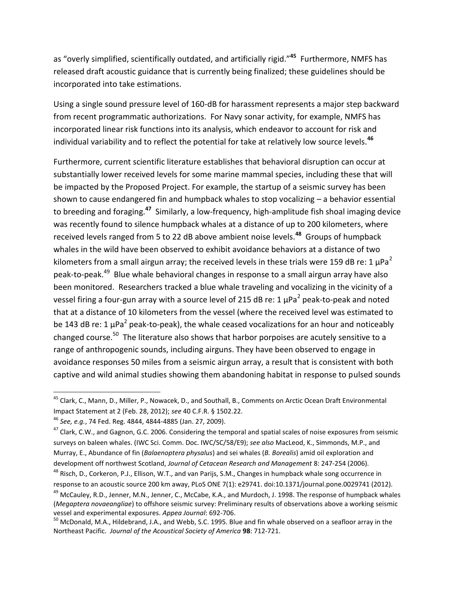as "overly simplified, scientifically outdated, and artificially rigid."**<sup>45</sup>** Furthermore, NMFS has released draft acoustic guidance that is currently being finalized; these guidelines should be incorporated into take estimations.

Using a single sound pressure level of 160-dB for harassment represents a major step backward from recent programmatic authorizations. For Navy sonar activity, for example, NMFS has incorporated linear risk functions into its analysis, which endeavor to account for risk and individual variability and to reflect the potential for take at relatively low source levels.**<sup>46</sup>**

Furthermore, current scientific literature establishes that behavioral disruption can occur at substantially lower received levels for some marine mammal species, including these that will be impacted by the Proposed Project. For example, the startup of a seismic survey has been shown to cause endangered fin and humpback whales to stop vocalizing – a behavior essential to breeding and foraging.**<sup>47</sup>** Similarly, a low-frequency, high-amplitude fish shoal imaging device was recently found to silence humpback whales at a distance of up to 200 kilometers, where received levels ranged from 5 to 22 dB above ambient noise levels.**<sup>48</sup>** Groups of humpback whales in the wild have been observed to exhibit avoidance behaviors at a distance of two kilometers from a small airgun array; the received levels in these trials were 159 dB re: 1  $\mu$ Pa<sup>2</sup> peak-to-peak.<sup>49</sup> Blue whale behavioral changes in response to a small airgun array have also been monitored. Researchers tracked a blue whale traveling and vocalizing in the vicinity of a vessel firing a four-gun array with a source level of 215 dB re: 1  $\mu$ Pa<sup>2</sup> peak-to-peak and noted that at a distance of 10 kilometers from the vessel (where the received level was estimated to be 143 dB re: 1  $\mu$ Pa<sup>2</sup> peak-to-peak), the whale ceased vocalizations for an hour and noticeably changed course.<sup>50</sup> The literature also shows that harbor porpoises are acutely sensitive to a range of anthropogenic sounds, including airguns. They have been observed to engage in avoidance responses 50 miles from a seismic airgun array, a result that is consistent with both captive and wild animal studies showing them abandoning habitat in response to pulsed sounds

<sup>&</sup>lt;sup>45</sup> Clark, C., Mann, D., Miller, P., Nowacek, D., and Southall, B., Comments on Arctic Ocean Draft Environmental Impact Statement at 2 (Feb. 28, 2012); *see* 40 C.F.R. § 1502.22.

<sup>46</sup> *See, e.g.*, 74 Fed. Reg. 4844, 4844-4885 (Jan. 27, 2009).

<sup>&</sup>lt;sup>47</sup> Clark, C.W., and Gagnon, G.C. 2006. Considering the temporal and spatial scales of noise exposures from seismic surveys on baleen whales. (IWC Sci. Comm. Doc. IWC/SC/58/E9); *see also* MacLeod, K., Simmonds, M.P., and Murray, E., Abundance of fin (*Balaenoptera physalus*) and sei whales (*B. Borealis*) amid oil exploration and development off northwest Scotland, *Journal of Cetacean Research and Management* 8: 247-254 (2006).

<sup>&</sup>lt;sup>48</sup> Risch, D., Corkeron, P.J., Ellison, W.T., and van Parijs, S.M., Changes in humpback whale song occurrence in response to an acoustic source 200 km away, PLoS ONE 7(1): e29741. doi:10.1371/journal.pone.0029741 (2012). <sup>49</sup> McCauley, R.D., Jenner, M.N., Jenner, C., McCabe, K.A., and Murdoch, J. 1998. The response of humpback whales (*Megaptera novaeangliae*) to offshore seismic survey: Preliminary results of observations above a working seismic vessel and experimental exposures. *Appea Journal*: 692-706.

<sup>&</sup>lt;sup>50</sup> McDonald, M.A., Hildebrand, J.A., and Webb, S.C. 1995. Blue and fin whale observed on a seafloor array in the Northeast Pacific. *Journal of the Acoustical Society of America* **98**: 712-721.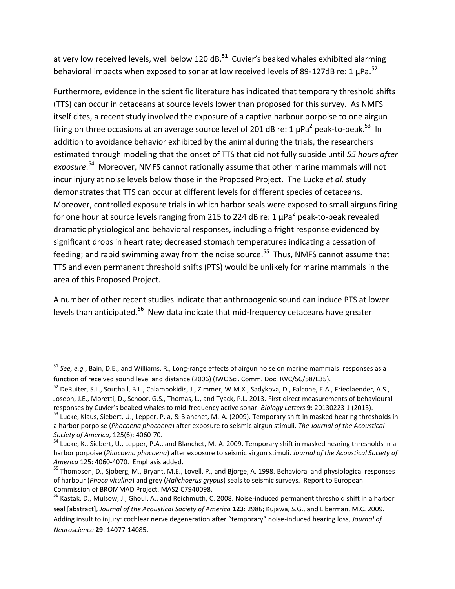at very low received levels, well below 120 dB.**<sup>51</sup>** Cuvier's beaked whales exhibited alarming behavioral impacts when exposed to sonar at low received levels of 89-127dB re: 1  $\mu$ Pa.<sup>52</sup>

Furthermore, evidence in the scientific literature has indicated that temporary threshold shifts (TTS) can occur in cetaceans at source levels lower than proposed for this survey. As NMFS itself cites, a recent study involved the exposure of a captive harbour porpoise to one airgun firing on three occasions at an average source level of 201 dB re: 1  $\mu$ Pa<sup>2</sup> peak-to-peak.<sup>53</sup> In addition to avoidance behavior exhibited by the animal during the trials, the researchers estimated through modeling that the onset of TTS that did not fully subside until *55 hours after exposure*. <sup>54</sup> Moreover, NMFS cannot rationally assume that other marine mammals will not incur injury at noise levels below those in the Proposed Project. The Lucke *et al.* study demonstrates that TTS can occur at different levels for different species of cetaceans. Moreover, controlled exposure trials in which harbor seals were exposed to small airguns firing for one hour at source levels ranging from 215 to 224 dB re: 1  $\mu$ Pa<sup>2</sup> peak-to-peak revealed dramatic physiological and behavioral responses, including a fright response evidenced by significant drops in heart rate; decreased stomach temperatures indicating a cessation of feeding; and rapid swimming away from the noise source.<sup>55</sup> Thus, NMFS cannot assume that TTS and even permanent threshold shifts (PTS) would be unlikely for marine mammals in the area of this Proposed Project.

A number of other recent studies indicate that anthropogenic sound can induce PTS at lower levels than anticipated.<sup>56</sup> New data indicate that mid-frequency cetaceans have greater

<sup>51</sup> *See, e.g.*, Bain, D.E., and Williams, R., Long-range effects of airgun noise on marine mammals: responses as a function of received sound level and distance (2006) (IWC Sci. Comm. Doc. IWC/SC/58/E35).

<sup>&</sup>lt;sup>52</sup> DeRuiter, S.L., Southall, B.L., Calambokidis, J., Zimmer, W.M.X., Sadykova, D., Falcone, E.A., Friedlaender, A.S., Joseph, J.E., Moretti, D., Schoor, G.S., Thomas, L., and Tyack, P.L. 2013. First direct measurements of behavioural responses by Cuvier's beaked whales to mid-frequency active sonar. *Biology Letters* **9**: 20130223 1 (2013).

<sup>&</sup>lt;sup>53</sup> Lucke, Klaus, Siebert, U., Lepper, P. a, & Blanchet, M.-A. (2009). Temporary shift in masked hearing thresholds in a harbor porpoise (*Phocoena phocoena*) after exposure to seismic airgun stimuli. *The Journal of the Acoustical Society of America*, 125(6): 4060-70.

 $54$  Lucke, K., Siebert, U., Lepper, P.A., and Blanchet, M.-A. 2009. Temporary shift in masked hearing thresholds in a harbor porpoise (*Phocoena phocoena*) after exposure to seismic airgun stimuli. *Journal of the Acoustical Society of America* 125: 4060-4070. Emphasis added.

<sup>&</sup>lt;sup>55</sup> Thompson, D., Sjoberg, M., Bryant, M.E., Lovell, P., and Bjorge, A. 1998. Behavioral and physiological responses of harbour (*Phoca vitulina*) and grey (*Halichoerus grypus*) seals to seismic surveys. Report to European Commission of BROMMAD Project. MAS2 C7940098.

<sup>56</sup> Kastak, D., Mulsow, J., Ghoul, A., and Reichmuth, C. 2008. Noise-induced permanent threshold shift in a harbor seal [abstract], *Journal of the Acoustical Society of America* **123**: 2986; Kujawa, S.G., and Liberman, M.C. 2009. Adding insult to injury: cochlear nerve degeneration after "temporary" noise-induced hearing loss, *Journal of Neuroscience* **29**: 14077-14085.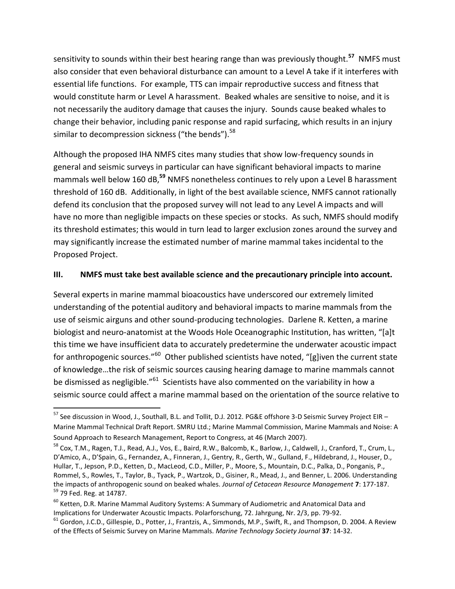sensitivity to sounds within their best hearing range than was previously thought.**<sup>57</sup>** NMFS must also consider that even behavioral disturbance can amount to a Level A take if it interferes with essential life functions. For example, TTS can impair reproductive success and fitness that would constitute harm or Level A harassment. Beaked whales are sensitive to noise, and it is not necessarily the auditory damage that causes the injury. Sounds cause beaked whales to change their behavior, including panic response and rapid surfacing, which results in an injury similar to decompression sickness ("the bends").<sup>58</sup>

Although the proposed IHA NMFS cites many studies that show low-frequency sounds in general and seismic surveys in particular can have significant behavioral impacts to marine mammals well below 160 dB,**<sup>59</sup>** NMFS nonetheless continues to rely upon a Level B harassment threshold of 160 dB. Additionally, in light of the best available science, NMFS cannot rationally defend its conclusion that the proposed survey will not lead to any Level A impacts and will have no more than negligible impacts on these species or stocks. As such, NMFS should modify its threshold estimates; this would in turn lead to larger exclusion zones around the survey and may significantly increase the estimated number of marine mammal takes incidental to the Proposed Project.

### **III. NMFS must take best available science and the precautionary principle into account.**

Several experts in marine mammal bioacoustics have underscored our extremely limited understanding of the potential auditory and behavioral impacts to marine mammals from the use of seismic airguns and other sound-producing technologies. Darlene R. Ketten, a marine biologist and neuro-anatomist at the Woods Hole Oceanographic Institution, has written, "[a]t this time we have insufficient data to accurately predetermine the underwater acoustic impact for anthropogenic sources."<sup>60</sup> Other published scientists have noted, "[g]iven the current state of knowledge…the risk of seismic sources causing hearing damage to marine mammals cannot be dismissed as negligible."<sup>61</sup> Scientists have also commented on the variability in how a seismic source could affect a marine mammal based on the orientation of the source relative to

<sup>57</sup> See discussion in Wood, J., Southall, B.L. and Tollit, D.J. 2012. PG&E offshore 3-D Seismic Survey Project EIR – Marine Mammal Technical Draft Report. SMRU Ltd.; Marine Mammal Commission, Marine Mammals and Noise: A Sound Approach to Research Management, Report to Congress, at 46 (March 2007).

<sup>58</sup> Cox, T.M., Ragen, T.J., Read, A.J., Vos, E., Baird, R.W., Balcomb, K., Barlow, J., Caldwell, J., Cranford, T., Crum, L., D'Amico, A., D'Spain, G., Fernandez, A., Finneran, J., Gentry, R., Gerth, W., Gulland, F., Hildebrand, J., Houser, D., Hullar, T., Jepson, P.D., Ketten, D., MacLeod, C.D., Miller, P., Moore, S., Mountain, D.C., Palka, D., Ponganis, P., Rommel, S., Rowles, T., Taylor, B., Tyack, P., Wartzok, D., Gisiner, R., Mead, J., and Benner, L. 2006. Understanding the impacts of anthropogenic sound on beaked whales. *Journal of Cetacean Resource Management* **7**: 177-187. <sup>59</sup> 79 Fed. Reg. at 14787.

<sup>&</sup>lt;sup>60</sup> Ketten, D.R. Marine Mammal Auditory Systems: A Summary of Audiometric and Anatomical Data and Implications for Underwater Acoustic Impacts. Polarforschung, 72. Jahrgung, Nr. 2/3, pp. 79-92.

 $61$  Gordon, J.C.D., Gillespie, D., Potter, J., Frantzis, A., Simmonds, M.P., Swift, R., and Thompson, D. 2004. A Review of the Effects of Seismic Survey on Marine Mammals. *Marine Technology Society Journal* **37**: 14-32.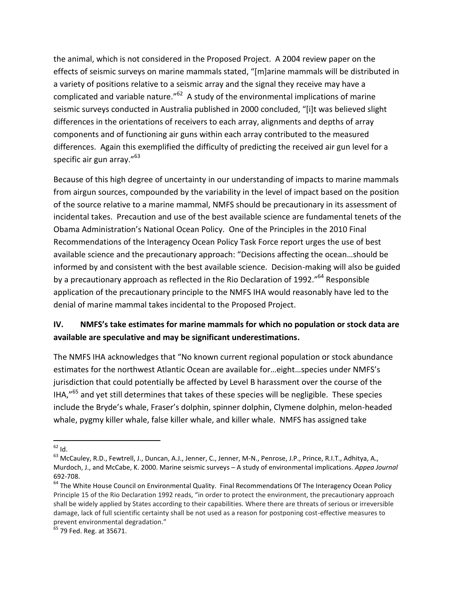the animal, which is not considered in the Proposed Project. A 2004 review paper on the effects of seismic surveys on marine mammals stated, "[m]arine mammals will be distributed in a variety of positions relative to a seismic array and the signal they receive may have a complicated and variable nature." $62$  A study of the environmental implications of marine seismic surveys conducted in Australia published in 2000 concluded, "[i]t was believed slight differences in the orientations of receivers to each array, alignments and depths of array components and of functioning air guns within each array contributed to the measured differences. Again this exemplified the difficulty of predicting the received air gun level for a specific air gun array."<sup>63</sup>

Because of this high degree of uncertainty in our understanding of impacts to marine mammals from airgun sources, compounded by the variability in the level of impact based on the position of the source relative to a marine mammal, NMFS should be precautionary in its assessment of incidental takes. Precaution and use of the best available science are fundamental tenets of the Obama Administration's National Ocean Policy. One of the Principles in the 2010 Final Recommendations of the Interagency Ocean Policy Task Force report urges the use of best available science and the precautionary approach: "Decisions affecting the ocean…should be informed by and consistent with the best available science. Decision-making will also be guided by a precautionary approach as reflected in the Rio Declaration of 1992."<sup>64</sup> Responsible application of the precautionary principle to the NMFS IHA would reasonably have led to the denial of marine mammal takes incidental to the Proposed Project.

# **IV. NMFS's take estimates for marine mammals for which no population or stock data are available are speculative and may be significant underestimations.**

The NMFS IHA acknowledges that "No known current regional population or stock abundance estimates for the northwest Atlantic Ocean are available for…eight…species under NMFS's jurisdiction that could potentially be affected by Level B harassment over the course of the IHA,"<sup>65</sup> and yet still determines that takes of these species will be negligible. These species include the Bryde's whale, Fraser's dolphin, spinner dolphin, Clymene dolphin, melon-headed whale, pygmy killer whale, false killer whale, and killer whale. NMFS has assigned take

 $\overline{\phantom{a}}$  $^{62}$  Id.

<sup>&</sup>lt;sup>63</sup> McCauley, R.D., Fewtrell, J., Duncan, A.J., Jenner, C., Jenner, M-N., Penrose, J.P., Prince, R.I.T., Adhitya, A., Murdoch, J., and McCabe, K. 2000. Marine seismic surveys – A study of environmental implications. *Appea Journal* 692-708.

<sup>&</sup>lt;sup>64</sup> The White House Council on Environmental Quality. Final Recommendations Of The Interagency Ocean Policy Principle 15 of the Rio Declaration 1992 reads, "in order to protect the environment, the precautionary approach shall be widely applied by States according to their capabilities. Where there are threats of serious or irreversible damage, lack of full scientific certainty shall be not used as a reason for postponing cost-effective measures to prevent environmental degradation."

 $65$  79 Fed. Reg. at 35671.